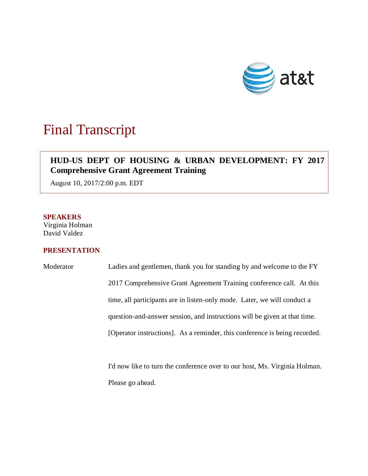

# Final Transcript

## **HUD-US DEPT OF HOUSING & URBAN DEVELOPMENT: FY 2017 Comprehensive Grant Agreement Training**

August 10, 2017/2:00 p.m. EDT

#### **SPEAKERS**

Virginia Holman David Valdez

### **PRESENTATION**

Moderator Ladies and gentlemen, thank you for standing by and welcome to the FY 2017 Comprehensive Grant Agreement Training conference call. At this time, all participants are in listen-only mode. Later, we will conduct a question-and-answer session, and instructions will be given at that time. [Operator instructions]. As a reminder, this conference is being recorded.

> I'd now like to turn the conference over to our host, Ms. Virginia Holman. Please go ahead.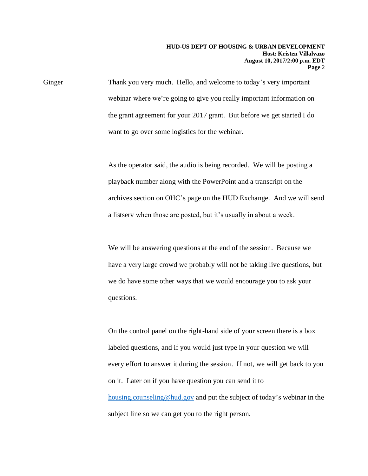Ginger Thank you very much. Hello, and welcome to today's very important webinar where we're going to give you really important information on the grant agreement for your 2017 grant. But before we get started I do want to go over some logistics for the webinar.

> As the operator said, the audio is being recorded. We will be posting a playback number along with the PowerPoint and a transcript on the archives section on OHC's page on the HUD Exchange. And we will send a listserv when those are posted, but it's usually in about a week.

We will be answering questions at the end of the session. Because we have a very large crowd we probably will not be taking live questions, but we do have some other ways that we would encourage you to ask your questions.

On the control panel on the right-hand side of your screen there is a box labeled questions, and if you would just type in your question we will every effort to answer it during the session. If not, we will get back to you on it. Later on if you have question you can send it to [housing.counseling@hud.gov](mailto:housing.counseling@hud.gov) and put the subject of today's webinar in the subject line so we can get you to the right person.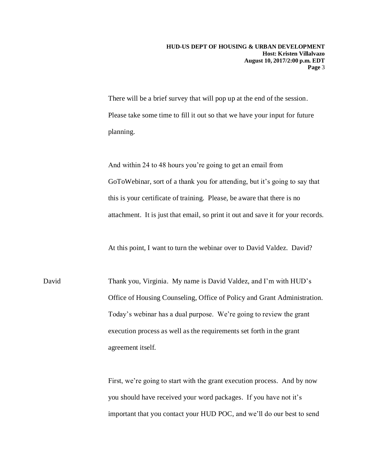There will be a brief survey that will pop up at the end of the session. Please take some time to fill it out so that we have your input for future planning.

And within 24 to 48 hours you're going to get an email from GoToWebinar, sort of a thank you for attending, but it's going to say that this is your certificate of training. Please, be aware that there is no attachment. It is just that email, so print it out and save it for your records.

At this point, I want to turn the webinar over to David Valdez. David?

David Thank you, Virginia. My name is David Valdez, and I'm with HUD's Office of Housing Counseling, Office of Policy and Grant Administration. Today's webinar has a dual purpose. We're going to review the grant execution process as well as the requirements set forth in the grant agreement itself.

> First, we're going to start with the grant execution process. And by now you should have received your word packages. If you have not it's important that you contact your HUD POC, and we'll do our best to send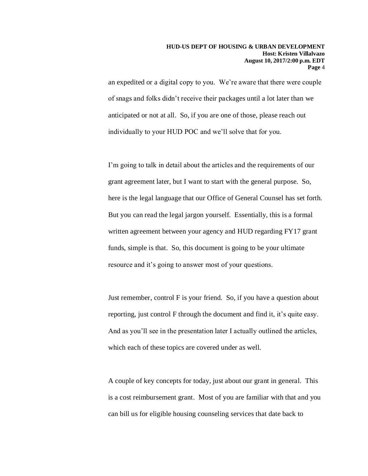an expedited or a digital copy to you. We're aware that there were couple of snags and folks didn't receive their packages until a lot later than we anticipated or not at all. So, if you are one of those, please reach out individually to your HUD POC and we'll solve that for you.

I'm going to talk in detail about the articles and the requirements of our grant agreement later, but I want to start with the general purpose. So, here is the legal language that our Office of General Counsel has set forth. But you can read the legal jargon yourself. Essentially, this is a formal written agreement between your agency and HUD regarding FY17 grant funds, simple is that. So, this document is going to be your ultimate resource and it's going to answer most of your questions.

Just remember, control F is your friend. So, if you have a question about reporting, just control F through the document and find it, it's quite easy. And as you'll see in the presentation later I actually outlined the articles, which each of these topics are covered under as well.

A couple of key concepts for today, just about our grant in general. This is a cost reimbursement grant. Most of you are familiar with that and you can bill us for eligible housing counseling services that date back to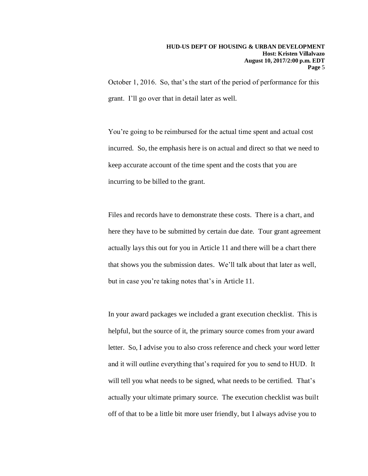October 1, 2016. So, that's the start of the period of performance for this grant. I'll go over that in detail later as well.

You're going to be reimbursed for the actual time spent and actual cost incurred. So, the emphasis here is on actual and direct so that we need to keep accurate account of the time spent and the costs that you are incurring to be billed to the grant.

Files and records have to demonstrate these costs. There is a chart, and here they have to be submitted by certain due date. Tour grant agreement actually lays this out for you in Article 11 and there will be a chart there that shows you the submission dates. We'll talk about that later as well, but in case you're taking notes that's in Article 11.

In your award packages we included a grant execution checklist. This is helpful, but the source of it, the primary source comes from your award letter. So, I advise you to also cross reference and check your word letter and it will outline everything that's required for you to send to HUD. It will tell you what needs to be signed, what needs to be certified. That's actually your ultimate primary source. The execution checklist was built off of that to be a little bit more user friendly, but I always advise you to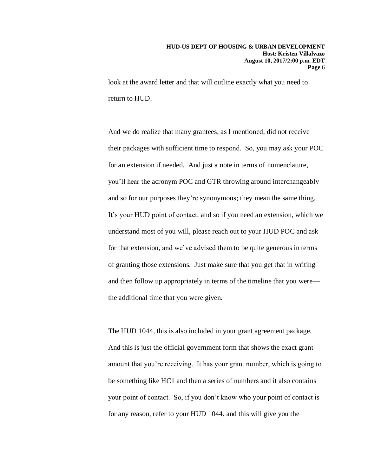look at the award letter and that will outline exactly what you need to return to HUD.

And we do realize that many grantees, as I mentioned, did not receive their packages with sufficient time to respond. So, you may ask your POC for an extension if needed. And just a note in terms of nomenclature, you'll hear the acronym POC and GTR throwing around interchangeably and so for our purposes they're synonymous; they mean the same thing. It's your HUD point of contact, and so if you need an extension, which we understand most of you will, please reach out to your HUD POC and ask for that extension, and we've advised them to be quite generous in terms of granting those extensions. Just make sure that you get that in writing and then follow up appropriately in terms of the timeline that you were the additional time that you were given.

The HUD 1044, this is also included in your grant agreement package. And this is just the official government form that shows the exact grant amount that you're receiving. It has your grant number, which is going to be something like HC1 and then a series of numbers and it also contains your point of contact. So, if you don't know who your point of contact is for any reason, refer to your HUD 1044, and this will give you the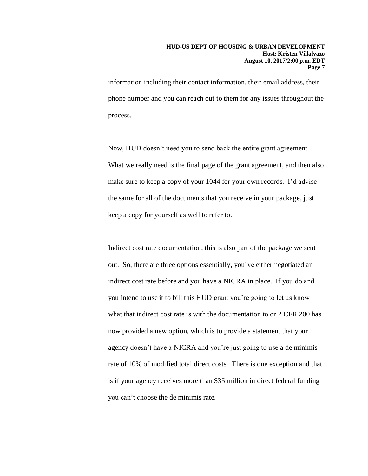information including their contact information, their email address, their phone number and you can reach out to them for any issues throughout the process.

Now, HUD doesn't need you to send back the entire grant agreement. What we really need is the final page of the grant agreement, and then also make sure to keep a copy of your 1044 for your own records. I'd advise the same for all of the documents that you receive in your package, just keep a copy for yourself as well to refer to.

Indirect cost rate documentation, this is also part of the package we sent out. So, there are three options essentially, you've either negotiated an indirect cost rate before and you have a NICRA in place. If you do and you intend to use it to bill this HUD grant you're going to let us know what that indirect cost rate is with the documentation to or 2 CFR 200 has now provided a new option, which is to provide a statement that your agency doesn't have a NICRA and you're just going to use a de minimis rate of 10% of modified total direct costs. There is one exception and that is if your agency receives more than \$35 million in direct federal funding you can't choose the de minimis rate.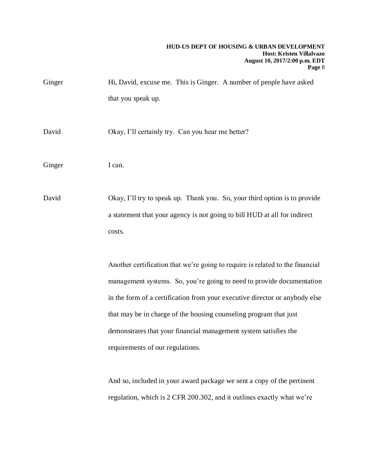#### **HUD-US DEPT OF HOUSING & URBAN DEVELOPMENT Host: Kristen Villalvazo August 10, 2017/2:00 p.m. EDT Page** 8

| Ginger | Hi, David, excuse me. This is Ginger. A number of people have asked                                                                                                                                                                   |
|--------|---------------------------------------------------------------------------------------------------------------------------------------------------------------------------------------------------------------------------------------|
|        | that you speak up.                                                                                                                                                                                                                    |
| David  | Okay, I'll certainly try. Can you hear me better?                                                                                                                                                                                     |
| Ginger | I can.                                                                                                                                                                                                                                |
| David  | Okay, I'll try to speak up. Thank you. So, your third option is to provide<br>a statement that your agency is not going to bill HUD at all for indirect<br>costs.                                                                     |
|        | Another certification that we're going to require is related to the financial<br>management systems. So, you're going to need to provide documentation<br>in the form of a certification from your executive director or anybody else |

that may be in charge of the housing counseling program that just demonstrates that your financial management system satisfies the requirements of our regulations.

And so, included in your award package we sent a copy of the pertinent regulation, which is 2 CFR 200.302, and it outlines exactly what we're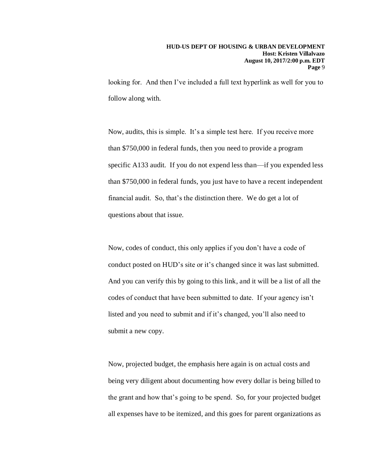looking for. And then I've included a full text hyperlink as well for you to follow along with.

Now, audits, this is simple. It's a simple test here. If you receive more than \$750,000 in federal funds, then you need to provide a program specific A133 audit. If you do not expend less than—if you expended less than \$750,000 in federal funds, you just have to have a recent independent financial audit. So, that's the distinction there. We do get a lot of questions about that issue.

Now, codes of conduct, this only applies if you don't have a code of conduct posted on HUD's site or it's changed since it was last submitted. And you can verify this by going to this link, and it will be a list of all the codes of conduct that have been submitted to date. If your agency isn't listed and you need to submit and if it's changed, you'll also need to submit a new copy.

Now, projected budget, the emphasis here again is on actual costs and being very diligent about documenting how every dollar is being billed to the grant and how that's going to be spend. So, for your projected budget all expenses have to be itemized, and this goes for parent organizations as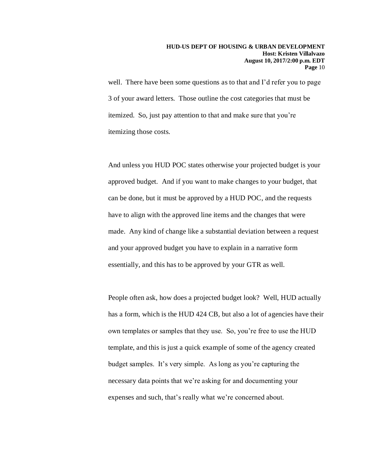well. There have been some questions as to that and I'd refer you to page 3 of your award letters. Those outline the cost categories that must be itemized. So, just pay attention to that and make sure that you're itemizing those costs.

And unless you HUD POC states otherwise your projected budget is your approved budget. And if you want to make changes to your budget, that can be done, but it must be approved by a HUD POC, and the requests have to align with the approved line items and the changes that were made. Any kind of change like a substantial deviation between a request and your approved budget you have to explain in a narrative form essentially, and this has to be approved by your GTR as well.

People often ask, how does a projected budget look? Well, HUD actually has a form, which is the HUD 424 CB, but also a lot of agencies have their own templates or samples that they use. So, you're free to use the HUD template, and this is just a quick example of some of the agency created budget samples. It's very simple. As long as you're capturing the necessary data points that we're asking for and documenting your expenses and such, that's really what we're concerned about.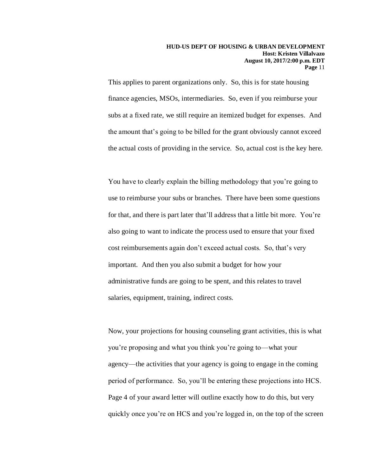This applies to parent organizations only. So, this is for state housing finance agencies, MSOs, intermediaries. So, even if you reimburse your subs at a fixed rate, we still require an itemized budget for expenses. And the amount that's going to be billed for the grant obviously cannot exceed the actual costs of providing in the service. So, actual cost is the key here.

You have to clearly explain the billing methodology that you're going to use to reimburse your subs or branches. There have been some questions for that, and there is part later that'll address that a little bit more. You're also going to want to indicate the process used to ensure that your fixed cost reimbursements again don't exceed actual costs. So, that's very important. And then you also submit a budget for how your administrative funds are going to be spent, and this relates to travel salaries, equipment, training, indirect costs.

Now, your projections for housing counseling grant activities, this is what you're proposing and what you think you're going to—what your agency—the activities that your agency is going to engage in the coming period of performance. So, you'll be entering these projections into HCS. Page 4 of your award letter will outline exactly how to do this, but very quickly once you're on HCS and you're logged in, on the top of the screen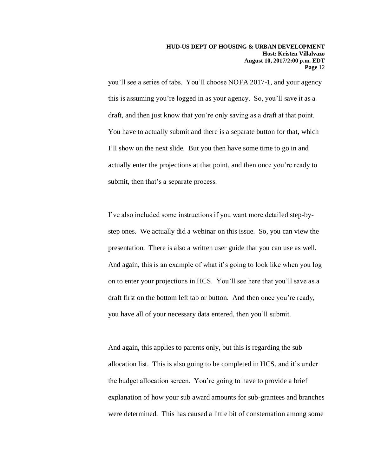you'll see a series of tabs. You'll choose NOFA 2017-1, and your agency this is assuming you're logged in as your agency. So, you'll save it as a draft, and then just know that you're only saving as a draft at that point. You have to actually submit and there is a separate button for that, which I'll show on the next slide. But you then have some time to go in and actually enter the projections at that point, and then once you're ready to submit, then that's a separate process.

I've also included some instructions if you want more detailed step-bystep ones. We actually did a webinar on this issue. So, you can view the presentation. There is also a written user guide that you can use as well. And again, this is an example of what it's going to look like when you log on to enter your projections in HCS. You'll see here that you'll save as a draft first on the bottom left tab or button. And then once you're ready, you have all of your necessary data entered, then you'll submit.

And again, this applies to parents only, but this is regarding the sub allocation list. This is also going to be completed in HCS, and it's under the budget allocation screen. You're going to have to provide a brief explanation of how your sub award amounts for sub-grantees and branches were determined. This has caused a little bit of consternation among some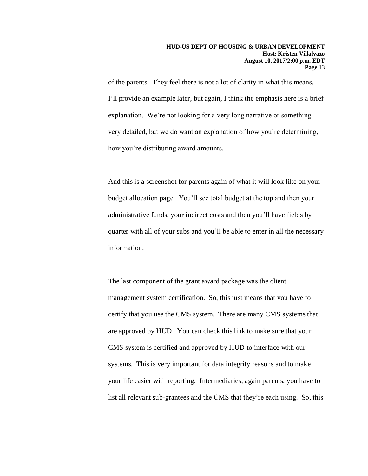of the parents. They feel there is not a lot of clarity in what this means. I'll provide an example later, but again, I think the emphasis here is a brief explanation. We're not looking for a very long narrative or something very detailed, but we do want an explanation of how you're determining, how you're distributing award amounts.

And this is a screenshot for parents again of what it will look like on your budget allocation page. You'll see total budget at the top and then your administrative funds, your indirect costs and then you'll have fields by quarter with all of your subs and you'll be able to enter in all the necessary information.

The last component of the grant award package was the client management system certification. So, this just means that you have to certify that you use the CMS system. There are many CMS systems that are approved by HUD. You can check this link to make sure that your CMS system is certified and approved by HUD to interface with our systems. This is very important for data integrity reasons and to make your life easier with reporting. Intermediaries, again parents, you have to list all relevant sub-grantees and the CMS that they're each using. So, this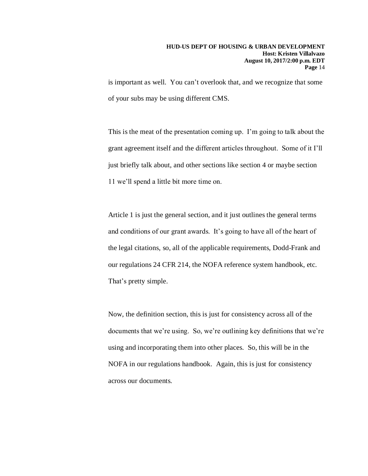is important as well. You can't overlook that, and we recognize that some of your subs may be using different CMS.

This is the meat of the presentation coming up. I'm going to talk about the grant agreement itself and the different articles throughout. Some of it I'll just briefly talk about, and other sections like section 4 or maybe section 11 we'll spend a little bit more time on.

Article 1 is just the general section, and it just outlines the general terms and conditions of our grant awards. It's going to have all of the heart of the legal citations, so, all of the applicable requirements, Dodd-Frank and our regulations 24 CFR 214, the NOFA reference system handbook, etc. That's pretty simple.

Now, the definition section, this is just for consistency across all of the documents that we're using. So, we're outlining key definitions that we're using and incorporating them into other places. So, this will be in the NOFA in our regulations handbook. Again, this is just for consistency across our documents.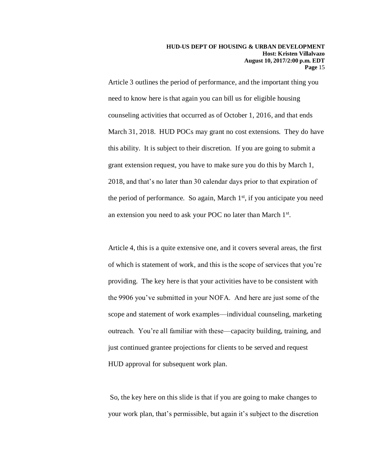Article 3 outlines the period of performance, and the important thing you need to know here is that again you can bill us for eligible housing counseling activities that occurred as of October 1, 2016, and that ends March 31, 2018. HUD POCs may grant no cost extensions. They do have this ability. It is subject to their discretion. If you are going to submit a grant extension request, you have to make sure you do this by March 1, 2018, and that's no later than 30 calendar days prior to that expiration of the period of performance. So again, March 1<sup>st</sup>, if you anticipate you need an extension you need to ask your POC no later than March 1st.

Article 4, this is a quite extensive one, and it covers several areas, the first of which is statement of work, and this is the scope of services that you're providing. The key here is that your activities have to be consistent with the 9906 you've submitted in your NOFA. And here are just some of the scope and statement of work examples—individual counseling, marketing outreach. You're all familiar with these—capacity building, training, and just continued grantee projections for clients to be served and request HUD approval for subsequent work plan.

So, the key here on this slide is that if you are going to make changes to your work plan, that's permissible, but again it's subject to the discretion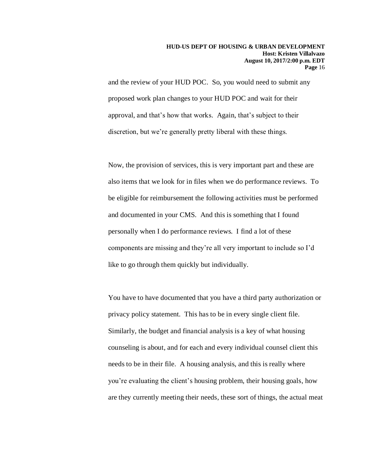and the review of your HUD POC. So, you would need to submit any proposed work plan changes to your HUD POC and wait for their approval, and that's how that works. Again, that's subject to their discretion, but we're generally pretty liberal with these things.

Now, the provision of services, this is very important part and these are also items that we look for in files when we do performance reviews. To be eligible for reimbursement the following activities must be performed and documented in your CMS. And this is something that I found personally when I do performance reviews. I find a lot of these components are missing and they're all very important to include so I'd like to go through them quickly but individually.

You have to have documented that you have a third party authorization or privacy policy statement. This has to be in every single client file. Similarly, the budget and financial analysis is a key of what housing counseling is about, and for each and every individual counsel client this needs to be in their file. A housing analysis, and this is really where you're evaluating the client's housing problem, their housing goals, how are they currently meeting their needs, these sort of things, the actual meat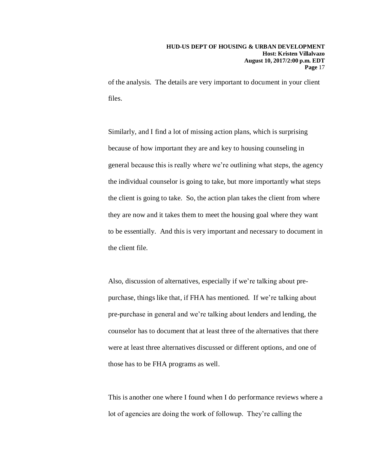of the analysis. The details are very important to document in your client files.

Similarly, and I find a lot of missing action plans, which is surprising because of how important they are and key to housing counseling in general because this is really where we're outlining what steps, the agency the individual counselor is going to take, but more importantly what steps the client is going to take. So, the action plan takes the client from where they are now and it takes them to meet the housing goal where they want to be essentially. And this is very important and necessary to document in the client file.

Also, discussion of alternatives, especially if we're talking about prepurchase, things like that, if FHA has mentioned. If we're talking about pre-purchase in general and we're talking about lenders and lending, the counselor has to document that at least three of the alternatives that there were at least three alternatives discussed or different options, and one of those has to be FHA programs as well.

This is another one where I found when I do performance reviews where a lot of agencies are doing the work of followup. They're calling the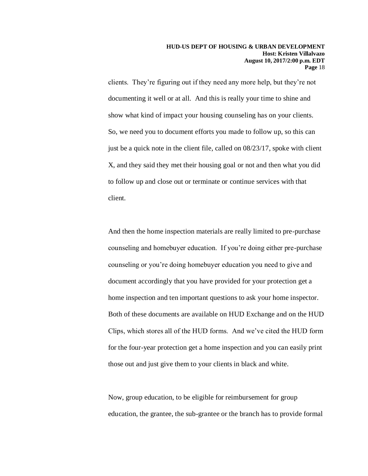clients. They're figuring out if they need any more help, but they're not documenting it well or at all. And this is really your time to shine and show what kind of impact your housing counseling has on your clients. So, we need you to document efforts you made to follow up, so this can just be a quick note in the client file, called on 08/23/17, spoke with client X, and they said they met their housing goal or not and then what you did to follow up and close out or terminate or continue services with that client.

And then the home inspection materials are really limited to pre-purchase counseling and homebuyer education. If you're doing either pre-purchase counseling or you're doing homebuyer education you need to give and document accordingly that you have provided for your protection get a home inspection and ten important questions to ask your home inspector. Both of these documents are available on HUD Exchange and on the HUD Clips, which stores all of the HUD forms. And we've cited the HUD form for the four-year protection get a home inspection and you can easily print those out and just give them to your clients in black and white.

Now, group education, to be eligible for reimbursement for group education, the grantee, the sub-grantee or the branch has to provide formal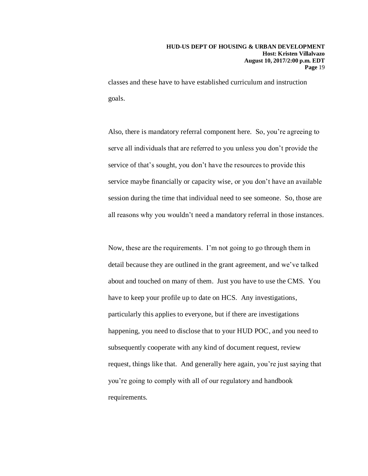classes and these have to have established curriculum and instruction goals.

Also, there is mandatory referral component here. So, you're agreeing to serve all individuals that are referred to you unless you don't provide the service of that's sought, you don't have the resources to provide this service maybe financially or capacity wise, or you don't have an available session during the time that individual need to see someone. So, those are all reasons why you wouldn't need a mandatory referral in those instances.

Now, these are the requirements. I'm not going to go through them in detail because they are outlined in the grant agreement, and we've talked about and touched on many of them. Just you have to use the CMS. You have to keep your profile up to date on HCS. Any investigations, particularly this applies to everyone, but if there are investigations happening, you need to disclose that to your HUD POC, and you need to subsequently cooperate with any kind of document request, review request, things like that. And generally here again, you're just saying that you're going to comply with all of our regulatory and handbook requirements.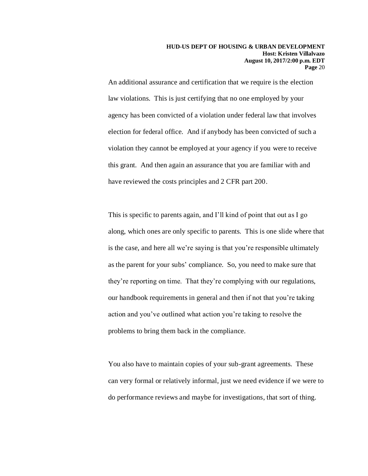An additional assurance and certification that we require is the election law violations. This is just certifying that no one employed by your agency has been convicted of a violation under federal law that involves election for federal office. And if anybody has been convicted of such a violation they cannot be employed at your agency if you were to receive this grant. And then again an assurance that you are familiar with and have reviewed the costs principles and 2 CFR part 200.

This is specific to parents again, and I'll kind of point that out as I go along, which ones are only specific to parents. This is one slide where that is the case, and here all we're saying is that you're responsible ultimately as the parent for your subs' compliance. So, you need to make sure that they're reporting on time. That they're complying with our regulations, our handbook requirements in general and then if not that you're taking action and you've outlined what action you're taking to resolve the problems to bring them back in the compliance.

You also have to maintain copies of your sub-grant agreements. These can very formal or relatively informal, just we need evidence if we were to do performance reviews and maybe for investigations, that sort of thing.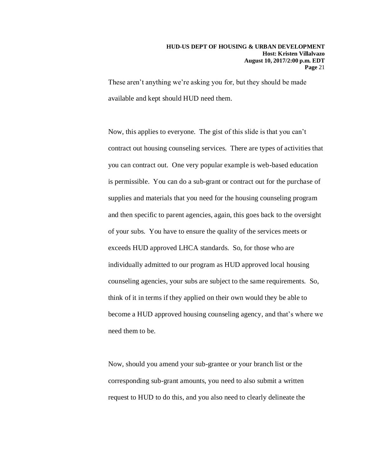These aren't anything we're asking you for, but they should be made available and kept should HUD need them.

Now, this applies to everyone. The gist of this slide is that you can't contract out housing counseling services. There are types of activities that you can contract out. One very popular example is web-based education is permissible. You can do a sub-grant or contract out for the purchase of supplies and materials that you need for the housing counseling program and then specific to parent agencies, again, this goes back to the oversight of your subs. You have to ensure the quality of the services meets or exceeds HUD approved LHCA standards. So, for those who are individually admitted to our program as HUD approved local housing counseling agencies, your subs are subject to the same requirements. So, think of it in terms if they applied on their own would they be able to become a HUD approved housing counseling agency, and that's where we need them to be.

Now, should you amend your sub-grantee or your branch list or the corresponding sub-grant amounts, you need to also submit a written request to HUD to do this, and you also need to clearly delineate the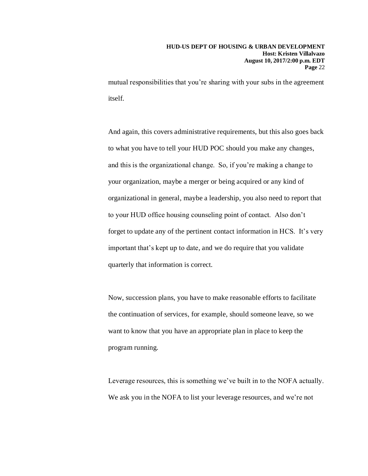mutual responsibilities that you're sharing with your subs in the agreement itself.

And again, this covers administrative requirements, but this also goes back to what you have to tell your HUD POC should you make any changes, and this is the organizational change. So, if you're making a change to your organization, maybe a merger or being acquired or any kind of organizational in general, maybe a leadership, you also need to report that to your HUD office housing counseling point of contact. Also don't forget to update any of the pertinent contact information in HCS. It's very important that's kept up to date, and we do require that you validate quarterly that information is correct.

Now, succession plans, you have to make reasonable efforts to facilitate the continuation of services, for example, should someone leave, so we want to know that you have an appropriate plan in place to keep the program running.

Leverage resources, this is something we've built in to the NOFA actually. We ask you in the NOFA to list your leverage resources, and we're not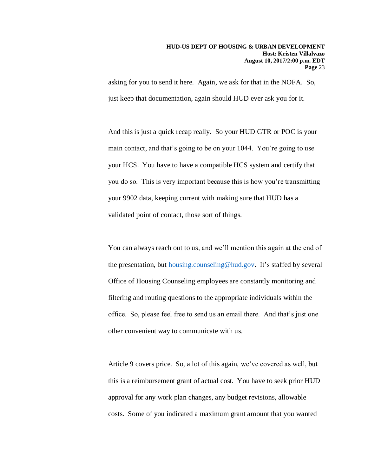asking for you to send it here. Again, we ask for that in the NOFA. So, just keep that documentation, again should HUD ever ask you for it.

And this is just a quick recap really. So your HUD GTR or POC is your main contact, and that's going to be on your 1044. You're going to use your HCS. You have to have a compatible HCS system and certify that you do so. This is very important because this is how you're transmitting your 9902 data, keeping current with making sure that HUD has a validated point of contact, those sort of things.

You can always reach out to us, and we'll mention this again at the end of the presentation, but [housing.counseling@hud.gov.](mailto:housing.counseling@hud.gov) It's staffed by several Office of Housing Counseling employees are constantly monitoring and filtering and routing questions to the appropriate individuals within the office. So, please feel free to send us an email there. And that's just one other convenient way to communicate with us.

Article 9 covers price. So, a lot of this again, we've covered as well, but this is a reimbursement grant of actual cost. You have to seek prior HUD approval for any work plan changes, any budget revisions, allowable costs. Some of you indicated a maximum grant amount that you wanted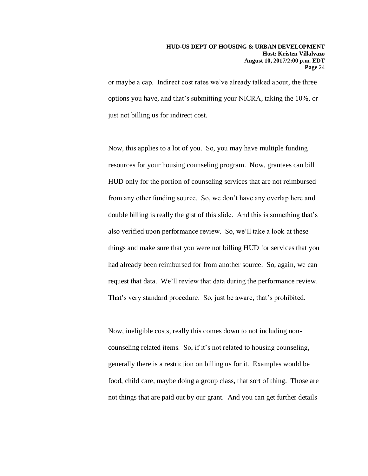or maybe a cap. Indirect cost rates we've already talked about, the three options you have, and that's submitting your NICRA, taking the 10%, or just not billing us for indirect cost.

Now, this applies to a lot of you. So, you may have multiple funding resources for your housing counseling program. Now, grantees can bill HUD only for the portion of counseling services that are not reimbursed from any other funding source. So, we don't have any overlap here and double billing is really the gist of this slide. And this is something that's also verified upon performance review. So, we'll take a look at these things and make sure that you were not billing HUD for services that you had already been reimbursed for from another source. So, again, we can request that data. We'll review that data during the performance review. That's very standard procedure. So, just be aware, that's prohibited.

Now, ineligible costs, really this comes down to not including noncounseling related items. So, if it's not related to housing counseling, generally there is a restriction on billing us for it. Examples would be food, child care, maybe doing a group class, that sort of thing. Those are not things that are paid out by our grant. And you can get further details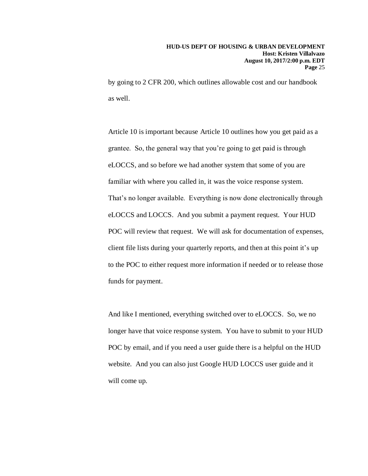by going to 2 CFR 200, which outlines allowable cost and our handbook as well.

Article 10 is important because Article 10 outlines how you get paid as a grantee. So, the general way that you're going to get paid is through eLOCCS, and so before we had another system that some of you are familiar with where you called in, it was the voice response system. That's no longer available. Everything is now done electronically through eLOCCS and LOCCS. And you submit a payment request. Your HUD POC will review that request. We will ask for documentation of expenses, client file lists during your quarterly reports, and then at this point it's up to the POC to either request more information if needed or to release those funds for payment.

And like I mentioned, everything switched over to eLOCCS. So, we no longer have that voice response system. You have to submit to your HUD POC by email, and if you need a user guide there is a helpful on the HUD website. And you can also just Google HUD LOCCS user guide and it will come up.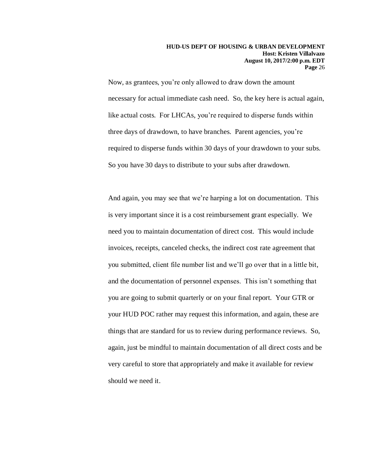Now, as grantees, you're only allowed to draw down the amount necessary for actual immediate cash need. So, the key here is actual again, like actual costs. For LHCAs, you're required to disperse funds within three days of drawdown, to have branches. Parent agencies, you're required to disperse funds within 30 days of your drawdown to your subs. So you have 30 days to distribute to your subs after drawdown.

And again, you may see that we're harping a lot on documentation. This is very important since it is a cost reimbursement grant especially. We need you to maintain documentation of direct cost. This would include invoices, receipts, canceled checks, the indirect cost rate agreement that you submitted, client file number list and we'll go over that in a little bit, and the documentation of personnel expenses. This isn't something that you are going to submit quarterly or on your final report. Your GTR or your HUD POC rather may request this information, and again, these are things that are standard for us to review during performance reviews. So, again, just be mindful to maintain documentation of all direct costs and be very careful to store that appropriately and make it available for review should we need it.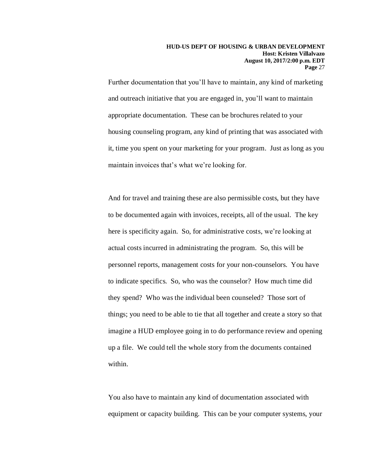Further documentation that you'll have to maintain, any kind of marketing and outreach initiative that you are engaged in, you'll want to maintain appropriate documentation. These can be brochures related to your housing counseling program, any kind of printing that was associated with it, time you spent on your marketing for your program. Just as long as you maintain invoices that's what we're looking for.

And for travel and training these are also permissible costs, but they have to be documented again with invoices, receipts, all of the usual. The key here is specificity again. So, for administrative costs, we're looking at actual costs incurred in administrating the program. So, this will be personnel reports, management costs for your non-counselors. You have to indicate specifics. So, who was the counselor? How much time did they spend? Who was the individual been counseled? Those sort of things; you need to be able to tie that all together and create a story so that imagine a HUD employee going in to do performance review and opening up a file. We could tell the whole story from the documents contained within.

You also have to maintain any kind of documentation associated with equipment or capacity building. This can be your computer systems, your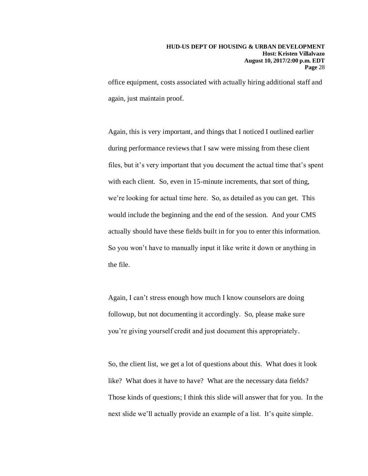office equipment, costs associated with actually hiring additional staff and again, just maintain proof.

Again, this is very important, and things that I noticed I outlined earlier during performance reviews that I saw were missing from these client files, but it's very important that you document the actual time that's spent with each client. So, even in 15-minute increments, that sort of thing, we're looking for actual time here. So, as detailed as you can get. This would include the beginning and the end of the session. And your CMS actually should have these fields built in for you to enter this information. So you won't have to manually input it like write it down or anything in the file.

Again, I can't stress enough how much I know counselors are doing followup, but not documenting it accordingly. So, please make sure you're giving yourself credit and just document this appropriately.

So, the client list, we get a lot of questions about this. What does it look like? What does it have to have? What are the necessary data fields? Those kinds of questions; I think this slide will answer that for you. In the next slide we'll actually provide an example of a list. It's quite simple.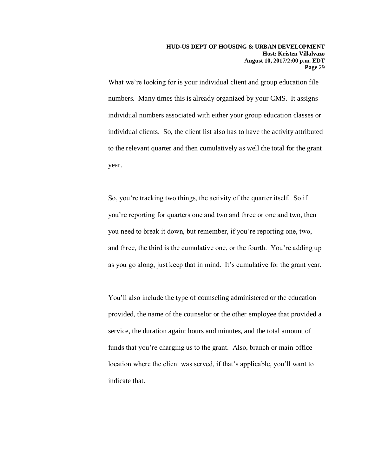What we're looking for is your individual client and group education file numbers. Many times this is already organized by your CMS. It assigns individual numbers associated with either your group education classes or individual clients. So, the client list also has to have the activity attributed to the relevant quarter and then cumulatively as well the total for the grant year.

So, you're tracking two things, the activity of the quarter itself. So if you're reporting for quarters one and two and three or one and two, then you need to break it down, but remember, if you're reporting one, two, and three, the third is the cumulative one, or the fourth. You're adding up as you go along, just keep that in mind. It's cumulative for the grant year.

You'll also include the type of counseling administered or the education provided, the name of the counselor or the other employee that provided a service, the duration again: hours and minutes, and the total amount of funds that you're charging us to the grant. Also, branch or main office location where the client was served, if that's applicable, you'll want to indicate that.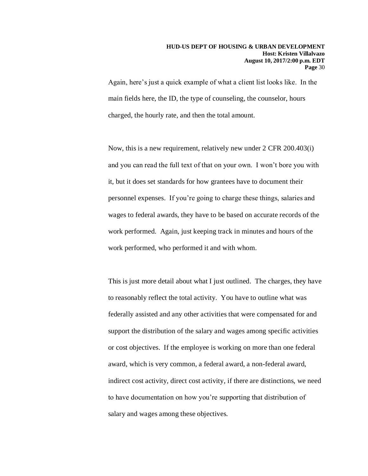Again, here's just a quick example of what a client list looks like. In the main fields here, the ID, the type of counseling, the counselor, hours charged, the hourly rate, and then the total amount.

Now, this is a new requirement, relatively new under 2 CFR 200.403(i) and you can read the full text of that on your own. I won't bore you with it, but it does set standards for how grantees have to document their personnel expenses. If you're going to charge these things, salaries and wages to federal awards, they have to be based on accurate records of the work performed. Again, just keeping track in minutes and hours of the work performed, who performed it and with whom.

This is just more detail about what I just outlined. The charges, they have to reasonably reflect the total activity. You have to outline what was federally assisted and any other activities that were compensated for and support the distribution of the salary and wages among specific activities or cost objectives. If the employee is working on more than one federal award, which is very common, a federal award, a non-federal award, indirect cost activity, direct cost activity, if there are distinctions, we need to have documentation on how you're supporting that distribution of salary and wages among these objectives.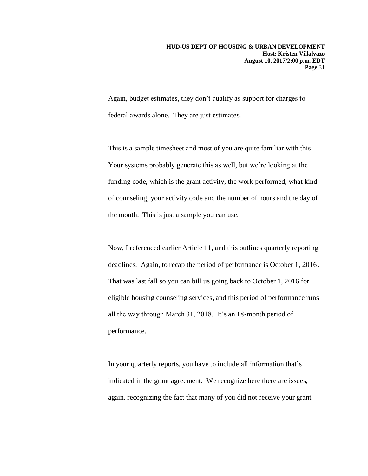Again, budget estimates, they don't qualify as support for charges to federal awards alone. They are just estimates.

This is a sample timesheet and most of you are quite familiar with this. Your systems probably generate this as well, but we're looking at the funding code, which is the grant activity, the work performed, what kind of counseling, your activity code and the number of hours and the day of the month. This is just a sample you can use.

Now, I referenced earlier Article 11, and this outlines quarterly reporting deadlines. Again, to recap the period of performance is October 1, 2016. That was last fall so you can bill us going back to October 1, 2016 for eligible housing counseling services, and this period of performance runs all the way through March 31, 2018. It's an 18-month period of performance.

In your quarterly reports, you have to include all information that's indicated in the grant agreement. We recognize here there are issues, again, recognizing the fact that many of you did not receive your grant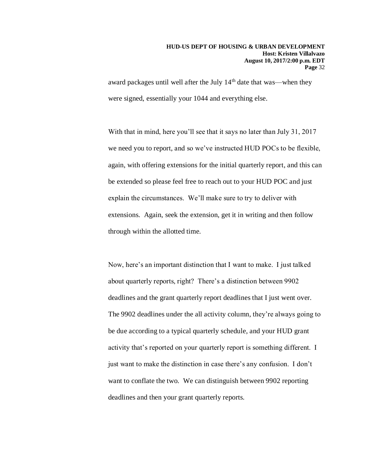award packages until well after the July 14<sup>th</sup> date that was—when they were signed, essentially your 1044 and everything else.

With that in mind, here you'll see that it says no later than July 31, 2017 we need you to report, and so we've instructed HUD POCs to be flexible, again, with offering extensions for the initial quarterly report, and this can be extended so please feel free to reach out to your HUD POC and just explain the circumstances. We'll make sure to try to deliver with extensions. Again, seek the extension, get it in writing and then follow through within the allotted time.

Now, here's an important distinction that I want to make. I just talked about quarterly reports, right? There's a distinction between 9902 deadlines and the grant quarterly report deadlines that I just went over. The 9902 deadlines under the all activity column, they're always going to be due according to a typical quarterly schedule, and your HUD grant activity that's reported on your quarterly report is something different. I just want to make the distinction in case there's any confusion. I don't want to conflate the two. We can distinguish between 9902 reporting deadlines and then your grant quarterly reports.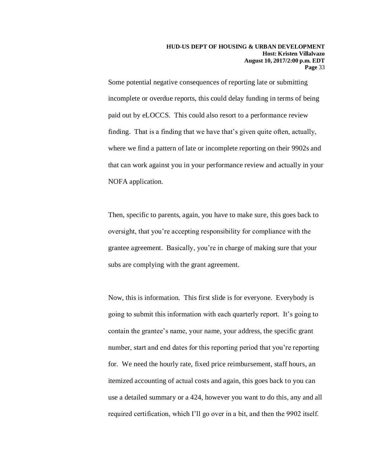Some potential negative consequences of reporting late or submitting incomplete or overdue reports, this could delay funding in terms of being paid out by eLOCCS. This could also resort to a performance review finding. That is a finding that we have that's given quite often, actually, where we find a pattern of late or incomplete reporting on their 9902s and that can work against you in your performance review and actually in your NOFA application.

Then, specific to parents, again, you have to make sure, this goes back to oversight, that you're accepting responsibility for compliance with the grantee agreement. Basically, you're in charge of making sure that your subs are complying with the grant agreement.

Now, this is information. This first slide is for everyone. Everybody is going to submit this information with each quarterly report. It's going to contain the grantee's name, your name, your address, the specific grant number, start and end dates for this reporting period that you're reporting for. We need the hourly rate, fixed price reimbursement, staff hours, an itemized accounting of actual costs and again, this goes back to you can use a detailed summary or a 424, however you want to do this, any and all required certification, which I'll go over in a bit, and then the 9902 itself.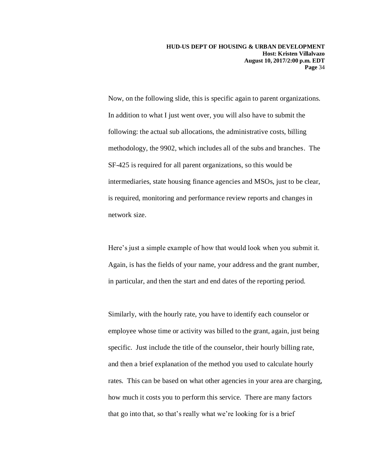Now, on the following slide, this is specific again to parent organizations. In addition to what I just went over, you will also have to submit the following: the actual sub allocations, the administrative costs, billing methodology, the 9902, which includes all of the subs and branches. The SF-425 is required for all parent organizations, so this would be intermediaries, state housing finance agencies and MSOs, just to be clear, is required, monitoring and performance review reports and changes in network size.

Here's just a simple example of how that would look when you submit it. Again, is has the fields of your name, your address and the grant number, in particular, and then the start and end dates of the reporting period.

Similarly, with the hourly rate, you have to identify each counselor or employee whose time or activity was billed to the grant, again, just being specific. Just include the title of the counselor, their hourly billing rate, and then a brief explanation of the method you used to calculate hourly rates. This can be based on what other agencies in your area are charging, how much it costs you to perform this service. There are many factors that go into that, so that's really what we're looking for is a brief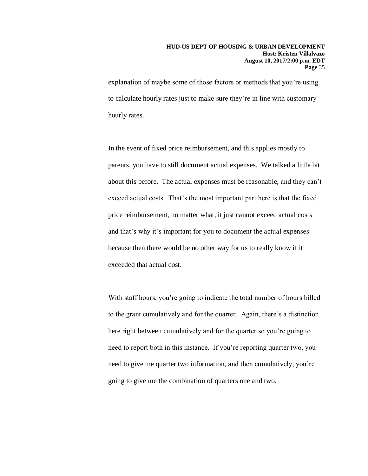#### **HUD-US DEPT OF HOUSING & URBAN DEVELOPMENT Host: Kristen Villalvazo August 10, 2017/2:00 p.m. EDT Page** 35

explanation of maybe some of those factors or methods that you're using to calculate hourly rates just to make sure they're in line with customary hourly rates.

In the event of fixed price reimbursement, and this applies mostly to parents, you have to still document actual expenses. We talked a little bit about this before. The actual expenses must be reasonable, and they can't exceed actual costs. That's the most important part here is that the fixed price reimbursement, no matter what, it just cannot exceed actual costs and that's why it's important for you to document the actual expenses because then there would be no other way for us to really know if it exceeded that actual cost.

With staff hours, you're going to indicate the total number of hours billed to the grant cumulatively and for the quarter. Again, there's a distinction here right between cumulatively and for the quarter so you're going to need to report both in this instance. If you're reporting quarter two, you need to give me quarter two information, and then cumulatively, you're going to give me the combination of quarters one and two.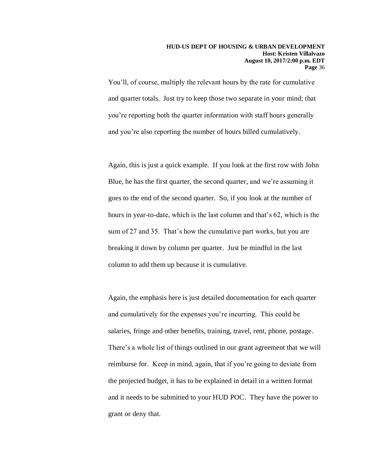You'll, of course, multiply the relevant hours by the rate for cumulative and quarter totals. Just try to keep those two separate in your mind; that you're reporting both the quarter information with staff hours generally and you're also reporting the number of hours billed cumulatively.

Again, this is just a quick example. If you look at the first row with John Blue, he has the first quarter, the second quarter, and we're assuming it goes to the end of the second quarter. So, if you look at the number of hours in year-to-date, which is the last column and that's 62, which is the sum of 27 and 35. That's how the cumulative part works, but you are breaking it down by column per quarter. Just be mindful in the last column to add them up because it is cumulative.

Again, the emphasis here is just detailed documentation for each quarter and cumulatively for the expenses you're incurring. This could be salaries, fringe and other benefits, training, travel, rent, phone, postage. There's a whole list of things outlined in our grant agreement that we will reimburse for. Keep in mind, again, that if you're going to deviate from the projected budget, it has to be explained in detail in a written format and it needs to be submitted to your HUD POC. They have the power to grant or deny that.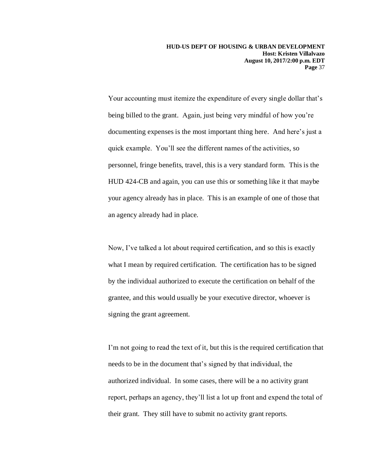Your accounting must itemize the expenditure of every single dollar that's being billed to the grant. Again, just being very mindful of how you're documenting expenses is the most important thing here. And here's just a quick example. You'll see the different names of the activities, so personnel, fringe benefits, travel, this is a very standard form. This is the HUD 424-CB and again, you can use this or something like it that maybe your agency already has in place. This is an example of one of those that an agency already had in place.

Now, I've talked a lot about required certification, and so this is exactly what I mean by required certification. The certification has to be signed by the individual authorized to execute the certification on behalf of the grantee, and this would usually be your executive director, whoever is signing the grant agreement.

I'm not going to read the text of it, but this is the required certification that needs to be in the document that's signed by that individual, the authorized individual. In some cases, there will be a no activity grant report, perhaps an agency, they'll list a lot up front and expend the total of their grant. They still have to submit no activity grant reports.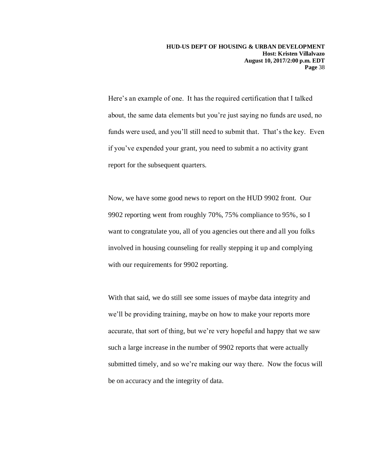Here's an example of one. It has the required certification that I talked about, the same data elements but you're just saying no funds are used, no funds were used, and you'll still need to submit that. That's the key. Even if you've expended your grant, you need to submit a no activity grant report for the subsequent quarters.

Now, we have some good news to report on the HUD 9902 front. Our 9902 reporting went from roughly 70%, 75% compliance to 95%, so I want to congratulate you, all of you agencies out there and all you folks involved in housing counseling for really stepping it up and complying with our requirements for 9902 reporting.

With that said, we do still see some issues of maybe data integrity and we'll be providing training, maybe on how to make your reports more accurate, that sort of thing, but we're very hopeful and happy that we saw such a large increase in the number of 9902 reports that were actually submitted timely, and so we're making our way there. Now the focus will be on accuracy and the integrity of data.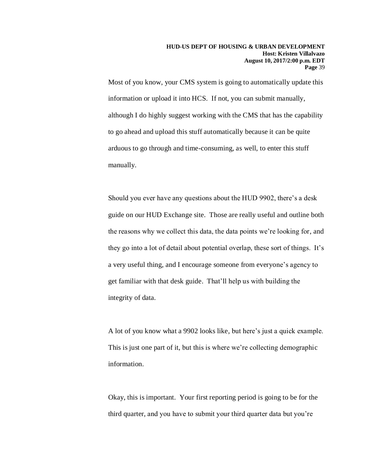Most of you know, your CMS system is going to automatically update this information or upload it into HCS. If not, you can submit manually, although I do highly suggest working with the CMS that has the capability to go ahead and upload this stuff automatically because it can be quite arduous to go through and time-consuming, as well, to enter this stuff manually.

Should you ever have any questions about the HUD 9902, there's a desk guide on our HUD Exchange site. Those are really useful and outline both the reasons why we collect this data, the data points we're looking for, and they go into a lot of detail about potential overlap, these sort of things. It's a very useful thing, and I encourage someone from everyone's agency to get familiar with that desk guide. That'll help us with building the integrity of data.

A lot of you know what a 9902 looks like, but here's just a quick example. This is just one part of it, but this is where we're collecting demographic information.

Okay, this is important. Your first reporting period is going to be for the third quarter, and you have to submit your third quarter data but you're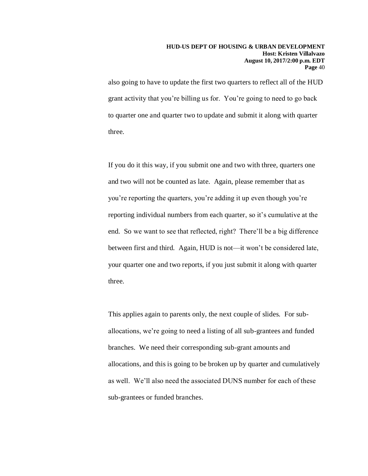also going to have to update the first two quarters to reflect all of the HUD grant activity that you're billing us for. You're going to need to go back to quarter one and quarter two to update and submit it along with quarter three.

If you do it this way, if you submit one and two with three, quarters one and two will not be counted as late. Again, please remember that as you're reporting the quarters, you're adding it up even though you're reporting individual numbers from each quarter, so it's cumulative at the end. So we want to see that reflected, right? There'll be a big difference between first and third. Again, HUD is not—it won't be considered late, your quarter one and two reports, if you just submit it along with quarter three.

This applies again to parents only, the next couple of slides. For suballocations, we're going to need a listing of all sub-grantees and funded branches. We need their corresponding sub-grant amounts and allocations, and this is going to be broken up by quarter and cumulatively as well. We'll also need the associated DUNS number for each of these sub-grantees or funded branches.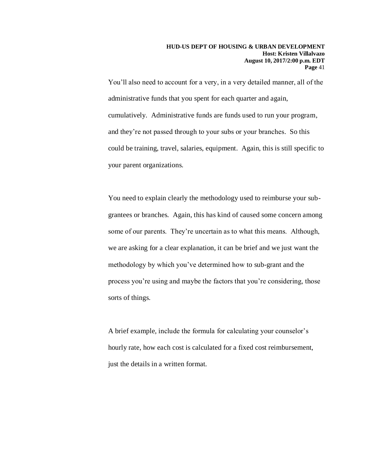You'll also need to account for a very, in a very detailed manner, all of the administrative funds that you spent for each quarter and again, cumulatively. Administrative funds are funds used to run your program, and they're not passed through to your subs or your branches. So this could be training, travel, salaries, equipment. Again, this is still specific to your parent organizations.

You need to explain clearly the methodology used to reimburse your subgrantees or branches. Again, this has kind of caused some concern among some of our parents. They're uncertain as to what this means. Although, we are asking for a clear explanation, it can be brief and we just want the methodology by which you've determined how to sub-grant and the process you're using and maybe the factors that you're considering, those sorts of things.

A brief example, include the formula for calculating your counselor's hourly rate, how each cost is calculated for a fixed cost reimbursement, just the details in a written format.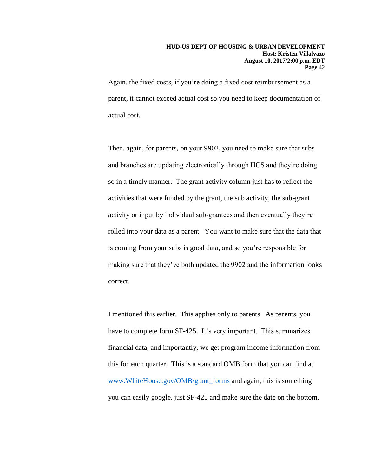#### **HUD-US DEPT OF HOUSING & URBAN DEVELOPMENT Host: Kristen Villalvazo August 10, 2017/2:00 p.m. EDT Page** 42

Again, the fixed costs, if you're doing a fixed cost reimbursement as a parent, it cannot exceed actual cost so you need to keep documentation of actual cost.

Then, again, for parents, on your 9902, you need to make sure that subs and branches are updating electronically through HCS and they're doing so in a timely manner. The grant activity column just has to reflect the activities that were funded by the grant, the sub activity, the sub-grant activity or input by individual sub-grantees and then eventually they're rolled into your data as a parent. You want to make sure that the data that is coming from your subs is good data, and so you're responsible for making sure that they've both updated the 9902 and the information looks correct.

I mentioned this earlier. This applies only to parents. As parents, you have to complete form SF-425. It's very important. This summarizes financial data, and importantly, we get program income information from this for each quarter. This is a standard OMB form that you can find at [www.WhiteHouse.gov/OMB/grant\\_forms](http://www.whitehouse.gov/OMB/grant_forms) and again, this is something you can easily google, just SF-425 and make sure the date on the bottom,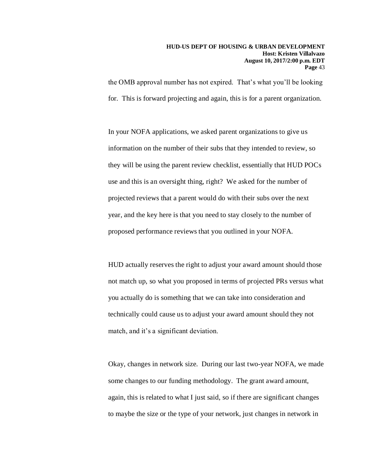the OMB approval number has not expired. That's what you'll be looking for. This is forward projecting and again, this is for a parent organization.

In your NOFA applications, we asked parent organizations to give us information on the number of their subs that they intended to review, so they will be using the parent review checklist, essentially that HUD POCs use and this is an oversight thing, right? We asked for the number of projected reviews that a parent would do with their subs over the next year, and the key here is that you need to stay closely to the number of proposed performance reviews that you outlined in your NOFA.

HUD actually reserves the right to adjust your award amount should those not match up, so what you proposed in terms of projected PRs versus what you actually do is something that we can take into consideration and technically could cause us to adjust your award amount should they not match, and it's a significant deviation.

Okay, changes in network size. During our last two-year NOFA, we made some changes to our funding methodology. The grant award amount, again, this is related to what I just said, so if there are significant changes to maybe the size or the type of your network, just changes in network in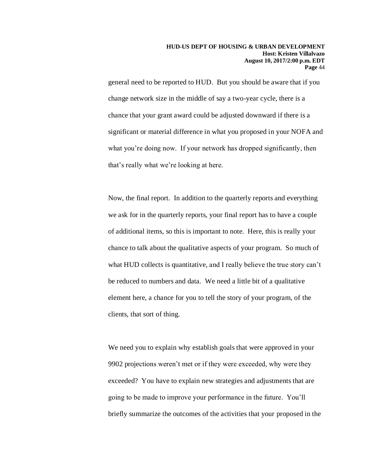general need to be reported to HUD. But you should be aware that if you change network size in the middle of say a two-year cycle, there is a chance that your grant award could be adjusted downward if there is a significant or material difference in what you proposed in your NOFA and what you're doing now. If your network has dropped significantly, then that's really what we're looking at here.

Now, the final report. In addition to the quarterly reports and everything we ask for in the quarterly reports, your final report has to have a couple of additional items, so this is important to note. Here, this is really your chance to talk about the qualitative aspects of your program. So much of what HUD collects is quantitative, and I really believe the true story can't be reduced to numbers and data. We need a little bit of a qualitative element here, a chance for you to tell the story of your program, of the clients, that sort of thing.

We need you to explain why establish goals that were approved in your 9902 projections weren't met or if they were exceeded, why were they exceeded? You have to explain new strategies and adjustments that are going to be made to improve your performance in the future. You'll briefly summarize the outcomes of the activities that your proposed in the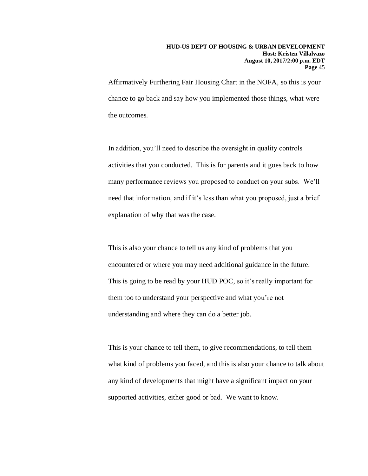Affirmatively Furthering Fair Housing Chart in the NOFA, so this is your chance to go back and say how you implemented those things, what were the outcomes.

In addition, you'll need to describe the oversight in quality controls activities that you conducted. This is for parents and it goes back to how many performance reviews you proposed to conduct on your subs. We'll need that information, and if it's less than what you proposed, just a brief explanation of why that was the case.

This is also your chance to tell us any kind of problems that you encountered or where you may need additional guidance in the future. This is going to be read by your HUD POC, so it's really important for them too to understand your perspective and what you're not understanding and where they can do a better job.

This is your chance to tell them, to give recommendations, to tell them what kind of problems you faced, and this is also your chance to talk about any kind of developments that might have a significant impact on your supported activities, either good or bad. We want to know.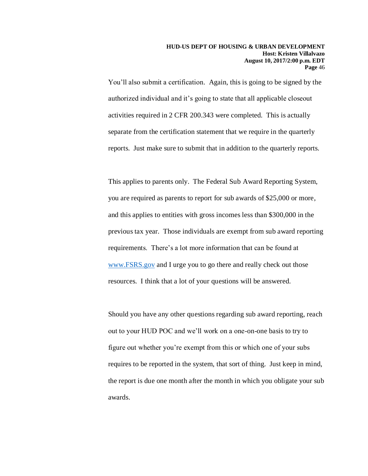You'll also submit a certification. Again, this is going to be signed by the authorized individual and it's going to state that all applicable closeout activities required in 2 CFR 200.343 were completed. This is actually separate from the certification statement that we require in the quarterly reports. Just make sure to submit that in addition to the quarterly reports.

This applies to parents only. The Federal Sub Award Reporting System, you are required as parents to report for sub awards of \$25,000 or more, and this applies to entities with gross incomes less than \$300,000 in the previous tax year. Those individuals are exempt from sub award reporting requirements. There's a lot more information that can be found at [www.FSRS.gov](http://www.fsrs.gov/) and I urge you to go there and really check out those resources. I think that a lot of your questions will be answered.

Should you have any other questions regarding sub award reporting, reach out to your HUD POC and we'll work on a one-on-one basis to try to figure out whether you're exempt from this or which one of your subs requires to be reported in the system, that sort of thing. Just keep in mind, the report is due one month after the month in which you obligate your sub awards.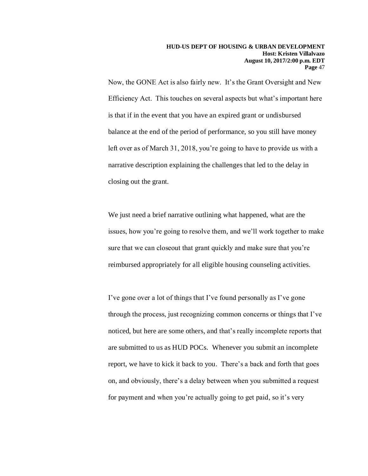Now, the GONE Act is also fairly new. It's the Grant Oversight and New Efficiency Act. This touches on several aspects but what's important here is that if in the event that you have an expired grant or undisbursed balance at the end of the period of performance, so you still have money left over as of March 31, 2018, you're going to have to provide us with a narrative description explaining the challenges that led to the delay in closing out the grant.

We just need a brief narrative outlining what happened, what are the issues, how you're going to resolve them, and we'll work together to make sure that we can closeout that grant quickly and make sure that you're reimbursed appropriately for all eligible housing counseling activities.

I've gone over a lot of things that I've found personally as I've gone through the process, just recognizing common concerns or things that I've noticed, but here are some others, and that's really incomplete reports that are submitted to us as HUD POCs. Whenever you submit an incomplete report, we have to kick it back to you. There's a back and forth that goes on, and obviously, there's a delay between when you submitted a request for payment and when you're actually going to get paid, so it's very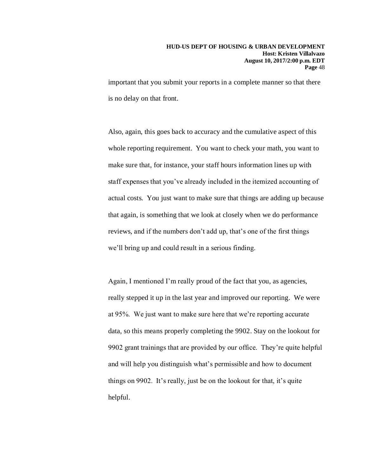important that you submit your reports in a complete manner so that there is no delay on that front.

Also, again, this goes back to accuracy and the cumulative aspect of this whole reporting requirement. You want to check your math, you want to make sure that, for instance, your staff hours information lines up with staff expenses that you've already included in the itemized accounting of actual costs. You just want to make sure that things are adding up because that again, is something that we look at closely when we do performance reviews, and if the numbers don't add up, that's one of the first things we'll bring up and could result in a serious finding.

Again, I mentioned I'm really proud of the fact that you, as agencies, really stepped it up in the last year and improved our reporting. We were at 95%. We just want to make sure here that we're reporting accurate data, so this means properly completing the 9902. Stay on the lookout for 9902 grant trainings that are provided by our office. They're quite helpful and will help you distinguish what's permissible and how to document things on 9902. It's really, just be on the lookout for that, it's quite helpful.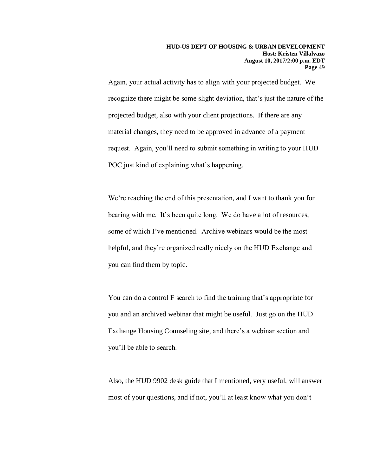Again, your actual activity has to align with your projected budget. We recognize there might be some slight deviation, that's just the nature of the projected budget, also with your client projections. If there are any material changes, they need to be approved in advance of a payment request. Again, you'll need to submit something in writing to your HUD POC just kind of explaining what's happening.

We're reaching the end of this presentation, and I want to thank you for bearing with me. It's been quite long. We do have a lot of resources, some of which I've mentioned. Archive webinars would be the most helpful, and they're organized really nicely on the HUD Exchange and you can find them by topic.

You can do a control F search to find the training that's appropriate for you and an archived webinar that might be useful. Just go on the HUD Exchange Housing Counseling site, and there's a webinar section and you'll be able to search.

Also, the HUD 9902 desk guide that I mentioned, very useful, will answer most of your questions, and if not, you'll at least know what you don't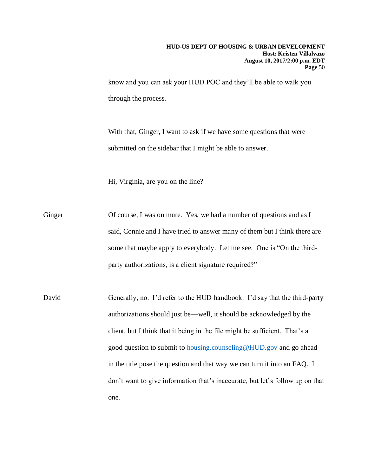know and you can ask your HUD POC and they'll be able to walk you through the process.

With that, Ginger, I want to ask if we have some questions that were submitted on the sidebar that I might be able to answer.

Hi, Virginia, are you on the line?

Ginger Of course, I was on mute. Yes, we had a number of questions and as I said, Connie and I have tried to answer many of them but I think there are some that maybe apply to everybody. Let me see. One is "On the thirdparty authorizations, is a client signature required?"

David Generally, no. I'd refer to the HUD handbook. I'd say that the third-party authorizations should just be—well, it should be acknowledged by the client, but I think that it being in the file might be sufficient. That's a good question to submit to [housing.counseling@HUD.gov](mailto:housing.counseling@HUD.gov) and go ahead in the title pose the question and that way we can turn it into an FAQ. I don't want to give information that's inaccurate, but let's follow up on that one.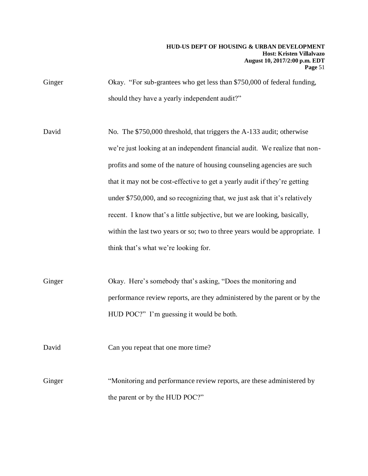Ginger Okay. "For sub-grantees who get less than \$750,000 of federal funding, should they have a yearly independent audit?"

David No. The \$750,000 threshold, that triggers the A-133 audit; otherwise we're just looking at an independent financial audit. We realize that nonprofits and some of the nature of housing counseling agencies are such that it may not be cost-effective to get a yearly audit if they're getting under \$750,000, and so recognizing that, we just ask that it's relatively recent. I know that's a little subjective, but we are looking, basically, within the last two years or so; two to three years would be appropriate. I think that's what we're looking for.

Ginger Okay. Here's somebody that's asking, "Does the monitoring and performance review reports, are they administered by the parent or by the HUD POC?" I'm guessing it would be both.

David Can you repeat that one more time?

Ginger "Monitoring and performance review reports, are these administered by the parent or by the HUD POC?"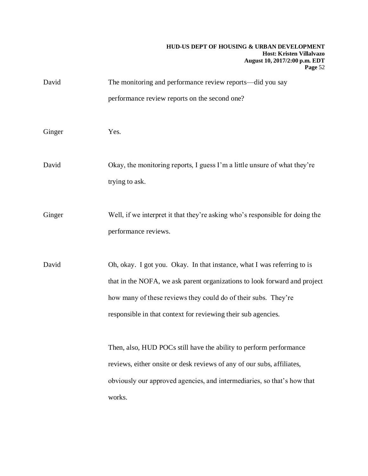#### **HUD-US DEPT OF HOUSING & URBAN DEVELOPMENT Host: Kristen Villalvazo August 10, 2017/2:00 p.m. EDT Page** 52

| David  | The monitoring and performance review reports—did you say<br>performance review reports on the second one?                                                                                                                                                                              |
|--------|-----------------------------------------------------------------------------------------------------------------------------------------------------------------------------------------------------------------------------------------------------------------------------------------|
| Ginger | Yes.                                                                                                                                                                                                                                                                                    |
| David  | Okay, the monitoring reports, I guess I'm a little unsure of what they're<br>trying to ask.                                                                                                                                                                                             |
| Ginger | Well, if we interpret it that they're asking who's responsible for doing the<br>performance reviews.                                                                                                                                                                                    |
| David  | Oh, okay. I got you. Okay. In that instance, what I was referring to is<br>that in the NOFA, we ask parent organizations to look forward and project<br>how many of these reviews they could do of their subs. They're<br>responsible in that context for reviewing their sub agencies. |
|        | Then, also, HUD POCs still have the ability to perform performance<br>reviews, either onsite or desk reviews of any of our subs, affiliates,<br>obviously our approved agencies, and intermediaries, so that's how that<br>works.                                                       |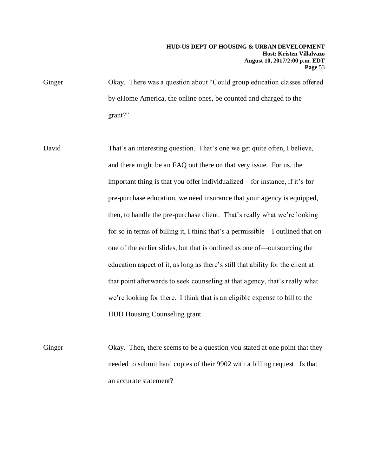#### **HUD-US DEPT OF HOUSING & URBAN DEVELOPMENT Host: Kristen Villalvazo August 10, 2017/2:00 p.m. EDT Page** 53

Ginger Okay. There was a question about "Could group education classes offered by eHome America, the online ones, be counted and charged to the grant?"

David That's an interesting question. That's one we get quite often, I believe, and there might be an FAQ out there on that very issue. For us, the important thing is that you offer individualized—for instance, if it's for pre-purchase education, we need insurance that your agency is equipped, then, to handle the pre-purchase client. That's really what we're looking for so in terms of billing it, I think that's a permissible—I outlined that on one of the earlier slides, but that is outlined as one of—outsourcing the education aspect of it, as long as there's still that ability for the client at that point afterwards to seek counseling at that agency, that's really what we're looking for there. I think that is an eligible expense to bill to the HUD Housing Counseling grant.

Ginger Okay. Then, there seems to be a question you stated at one point that they needed to submit hard copies of their 9902 with a billing request. Is that an accurate statement?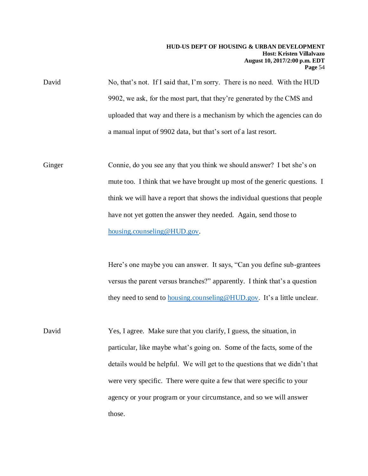David No, that's not. If I said that, I'm sorry. There is no need. With the HUD 9902, we ask, for the most part, that they're generated by the CMS and uploaded that way and there is a mechanism by which the agencies can do a manual input of 9902 data, but that's sort of a last resort.

Ginger Connie, do you see any that you think we should answer? I bet she's on mute too. I think that we have brought up most of the generic questions. I think we will have a report that shows the individual questions that people have not yet gotten the answer they needed. Again, send those to [housing.counseling@HUD.gov.](mailto:housing.counseling@HUD.gov)

> Here's one maybe you can answer. It says, "Can you define sub-grantees versus the parent versus branches?" apparently. I think that's a question they need to send to [housing.counseling@HUD.gov.](mailto:housing.counseling@HUD.gov) It's a little unclear.

David Yes, I agree. Make sure that you clarify, I guess, the situation, in particular, like maybe what's going on. Some of the facts, some of the details would be helpful. We will get to the questions that we didn't that were very specific. There were quite a few that were specific to your agency or your program or your circumstance, and so we will answer those.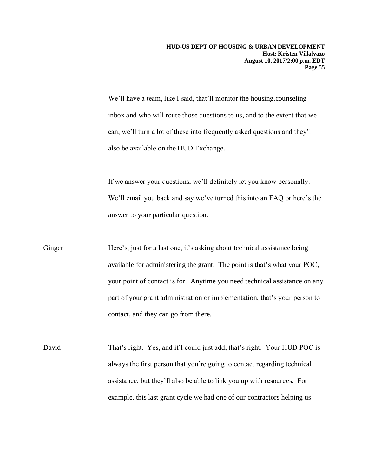We'll have a team, like I said, that'll monitor the housing.counseling inbox and who will route those questions to us, and to the extent that we can, we'll turn a lot of these into frequently asked questions and they'll also be available on the HUD Exchange.

If we answer your questions, we'll definitely let you know personally. We'll email you back and say we've turned this into an FAQ or here's the answer to your particular question.

Ginger Here's, just for a last one, it's asking about technical assistance being available for administering the grant. The point is that's what your POC, your point of contact is for. Anytime you need technical assistance on any part of your grant administration or implementation, that's your person to contact, and they can go from there.

David That's right. Yes, and if I could just add, that's right. Your HUD POC is always the first person that you're going to contact regarding technical assistance, but they'll also be able to link you up with resources. For example, this last grant cycle we had one of our contractors helping us